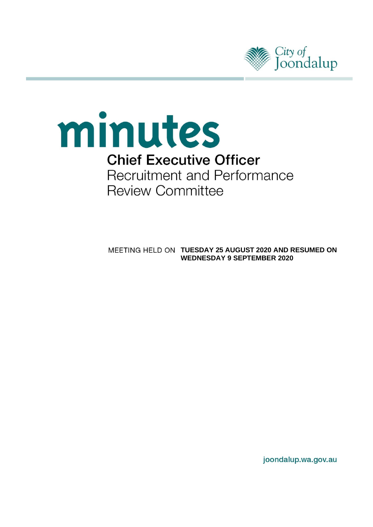



**TUESDAY 25 AUGUST 2020 AND RESUMED ON WEDNESDAY 9 SEPTEMBER 2020**

joondalup.wa.gov.au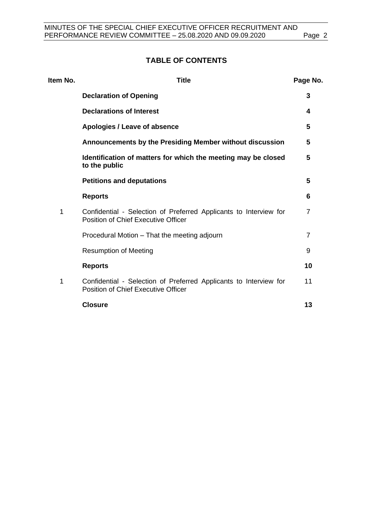# **TABLE OF CONTENTS**

| Item No. | <b>Title</b>                                                                                                    | Page No. |
|----------|-----------------------------------------------------------------------------------------------------------------|----------|
|          | <b>Declaration of Opening</b>                                                                                   | 3        |
|          | <b>Declarations of Interest</b>                                                                                 | 4        |
|          | Apologies / Leave of absence                                                                                    | 5        |
|          | Announcements by the Presiding Member without discussion                                                        | 5        |
|          | Identification of matters for which the meeting may be closed<br>to the public                                  | 5        |
|          | <b>Petitions and deputations</b>                                                                                | 5        |
|          | <b>Reports</b>                                                                                                  | 6        |
| 1        | Confidential - Selection of Preferred Applicants to Interview for<br><b>Position of Chief Executive Officer</b> | 7        |
|          | Procedural Motion - That the meeting adjourn                                                                    | 7        |
|          | <b>Resumption of Meeting</b>                                                                                    | 9        |
|          | <b>Reports</b>                                                                                                  | 10       |
| 1        | Confidential - Selection of Preferred Applicants to Interview for<br><b>Position of Chief Executive Officer</b> | 11       |
|          | <b>Closure</b>                                                                                                  | 13       |
|          |                                                                                                                 |          |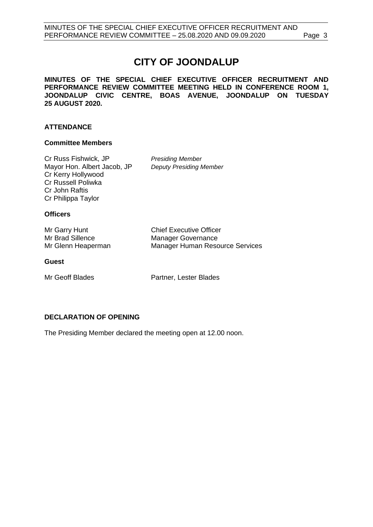# **CITY OF JOONDALUP**

**MINUTES OF THE SPECIAL CHIEF EXECUTIVE OFFICER RECRUITMENT AND PERFORMANCE REVIEW COMMITTEE MEETING HELD IN CONFERENCE ROOM 1, JOONDALUP CIVIC CENTRE, BOAS AVENUE, JOONDALUP ON TUESDAY 25 AUGUST 2020.** 

# **ATTENDANCE**

# **Committee Members**

Cr Russ Fishwick, JP *Presiding Member* Mayor Hon. Albert Jacob, JP *Deputy Presiding Member* Cr Kerry Hollywood Cr Russell Poliwka Cr John Raftis Cr Philippa Taylor

### **Officers**

| Mr Garry Hunt      | <b>Chief Executive Officer</b>  |
|--------------------|---------------------------------|
| Mr Brad Sillence   | Manager Governance              |
| Mr Glenn Heaperman | Manager Human Resource Services |

#### **Guest**

Mr Geoff Blades **Partner**, Lester Blades

# <span id="page-2-0"></span>**DECLARATION OF OPENING**

The Presiding Member declared the meeting open at 12.00 noon.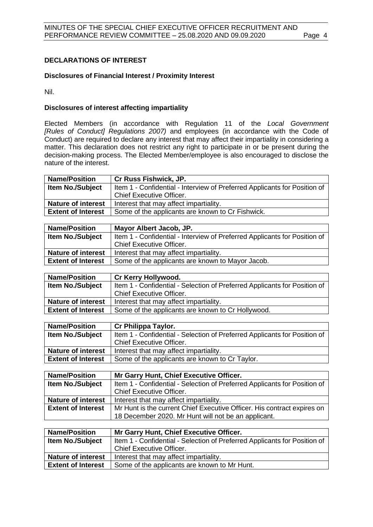# <span id="page-3-0"></span>**DECLARATIONS OF INTEREST**

# **Disclosures of Financial Interest / Proximity Interest**

Nil.

# **Disclosures of interest affecting impartiality**

Elected Members (in accordance with Regulation 11 of the *Local Government [Rules of Conduct] Regulations 2007)* and employees (in accordance with the Code of Conduct) are required to declare any interest that may affect their impartiality in considering a matter. This declaration does not restrict any right to participate in or be present during the decision-making process. The Elected Member/employee is also encouraged to disclose the nature of the interest.

| <b>Name/Position</b>                                                          | <b>Cr Russ Fishwick, JP.</b>                                              |  |
|-------------------------------------------------------------------------------|---------------------------------------------------------------------------|--|
| <b>Item No./Subject</b>                                                       | Item 1 - Confidential - Interview of Preferred Applicants for Position of |  |
|                                                                               | <b>Chief Executive Officer.</b>                                           |  |
| <b>Nature of interest</b>                                                     | Interest that may affect impartiality.                                    |  |
| Some of the applicants are known to Cr Fishwick.<br><b>Extent of Interest</b> |                                                                           |  |
|                                                                               |                                                                           |  |

| Item 1 - Confidential - Interview of Preferred Applicants for Position of<br><b>Item No./Subject</b><br><b>Chief Executive Officer.</b> | <b>Name/Position</b><br>Mayor Albert Jacob, JP. |                                        |  |
|-----------------------------------------------------------------------------------------------------------------------------------------|-------------------------------------------------|----------------------------------------|--|
|                                                                                                                                         |                                                 |                                        |  |
|                                                                                                                                         |                                                 |                                        |  |
|                                                                                                                                         | <b>Nature of interest</b>                       | Interest that may affect impartiality. |  |
| <b>Extent of Interest</b><br>Some of the applicants are known to Mayor Jacob.                                                           |                                                 |                                        |  |

| <b>Name/Position</b>                                                           | <b>Cr Kerry Hollywood.</b>                                                |  |
|--------------------------------------------------------------------------------|---------------------------------------------------------------------------|--|
| <b>Item No./Subject</b>                                                        | Item 1 - Confidential - Selection of Preferred Applicants for Position of |  |
|                                                                                | Chief Executive Officer.                                                  |  |
| <b>Nature of interest</b>                                                      | Interest that may affect impartiality.                                    |  |
| Some of the applicants are known to Cr Hollywood.<br><b>Extent of Interest</b> |                                                                           |  |
|                                                                                |                                                                           |  |

| <b>Name/Position</b>      | Cr Philippa Taylor.                                                       |  |
|---------------------------|---------------------------------------------------------------------------|--|
| <b>Item No./Subject</b>   | Item 1 - Confidential - Selection of Preferred Applicants for Position of |  |
|                           | <b>Chief Executive Officer.</b>                                           |  |
| <b>Nature of interest</b> | Interest that may affect impartiality.                                    |  |
| <b>Extent of Interest</b> | Some of the applicants are known to Cr Taylor.                            |  |

| <b>Name/Position</b>      | Mr Garry Hunt, Chief Executive Officer.                                   |  |
|---------------------------|---------------------------------------------------------------------------|--|
| <b>Item No./Subject</b>   | Item 1 - Confidential - Selection of Preferred Applicants for Position of |  |
|                           | <b>Chief Executive Officer.</b>                                           |  |
| <b>Nature of interest</b> | Interest that may affect impartiality.                                    |  |
| <b>Extent of Interest</b> | Mr Hunt is the current Chief Executive Officer. His contract expires on   |  |
|                           | 18 December 2020. Mr Hunt will not be an applicant.                       |  |

| <b>Name/Position</b>                                                      | Mr Garry Hunt, Chief Executive Officer.                                   |  |
|---------------------------------------------------------------------------|---------------------------------------------------------------------------|--|
| <b>Item No./Subject</b>                                                   | Item 1 - Confidential - Selection of Preferred Applicants for Position of |  |
|                                                                           | <b>Chief Executive Officer.</b>                                           |  |
| <b>Nature of interest</b>                                                 | Interest that may affect impartiality.                                    |  |
| Some of the applicants are known to Mr Hunt.<br><b>Extent of Interest</b> |                                                                           |  |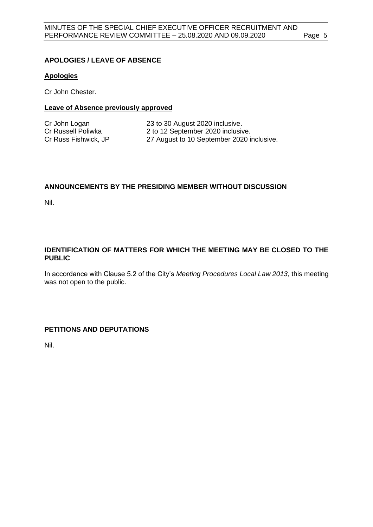# <span id="page-4-0"></span>**APOLOGIES / LEAVE OF ABSENCE**

### **Apologies**

Cr John Chester.

# **Leave of Absence previously approved**

| Cr John Logan        | 23 to 30 August 2020 inclusive.           |
|----------------------|-------------------------------------------|
| Cr Russell Poliwka   | 2 to 12 September 2020 inclusive.         |
| Cr Russ Fishwick, JP | 27 August to 10 September 2020 inclusive. |

# <span id="page-4-1"></span>**ANNOUNCEMENTS BY THE PRESIDING MEMBER WITHOUT DISCUSSION**

Nil.

# <span id="page-4-2"></span>**IDENTIFICATION OF MATTERS FOR WHICH THE MEETING MAY BE CLOSED TO THE PUBLIC**

In accordance with Clause 5.2 of the City's *Meeting Procedures Local Law 2013*, this meeting was not open to the public.

# <span id="page-4-3"></span>**PETITIONS AND DEPUTATIONS**

Nil.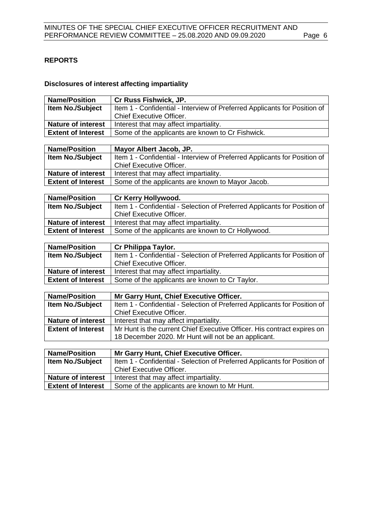# <span id="page-5-0"></span>**REPORTS**

# **Disclosures of interest affecting impartiality**

| <b>Name/Position</b>                                   | Cr Russ Fishwick, JP.                                                                  |  |
|--------------------------------------------------------|----------------------------------------------------------------------------------------|--|
| Item No./Subject                                       | Item 1 - Confidential - Interview of Preferred Applicants for Position of              |  |
|                                                        | <b>Chief Executive Officer.</b>                                                        |  |
| <b>Nature of interest</b>                              | Interest that may affect impartiality.                                                 |  |
| <b>Extent of Interest</b>                              | Some of the applicants are known to Cr Fishwick.                                       |  |
|                                                        |                                                                                        |  |
| <b>Name/Position</b>                                   | Mayor Albert Jacob, JP.                                                                |  |
| <b>Item No./Subject</b>                                | Item 1 - Confidential - Interview of Preferred Applicants for Position of              |  |
|                                                        | <b>Chief Executive Officer.</b>                                                        |  |
| <b>Nature of interest</b>                              | Interest that may affect impartiality.                                                 |  |
| <b>Extent of Interest</b>                              | Some of the applicants are known to Mayor Jacob.                                       |  |
|                                                        |                                                                                        |  |
| <b>Name/Position</b>                                   | Cr Kerry Hollywood.                                                                    |  |
| Item No./Subject                                       | Item 1 - Confidential - Selection of Preferred Applicants for Position of              |  |
|                                                        | Chief Executive Officer.                                                               |  |
| <b>Nature of interest</b>                              | Interest that may affect impartiality.                                                 |  |
| <b>Extent of Interest</b>                              | Some of the applicants are known to Cr Hollywood.                                      |  |
|                                                        |                                                                                        |  |
| <b>Name/Position</b>                                   | Cr Philippa Taylor.                                                                    |  |
| Item No./Subject                                       | Item 1 - Confidential - Selection of Preferred Applicants for Position of              |  |
|                                                        | <b>Chief Executive Officer.</b>                                                        |  |
| <b>Nature of interest</b>                              | Interest that may affect impartiality.                                                 |  |
| <b>Extent of Interest</b>                              | Some of the applicants are known to Cr Taylor.                                         |  |
|                                                        |                                                                                        |  |
|                                                        |                                                                                        |  |
| <b>Name/Position</b>                                   | Mr Garry Hunt, Chief Executive Officer.                                                |  |
| Item No./Subject                                       | Item 1 - Confidential - Selection of Preferred Applicants for Position of              |  |
|                                                        | <b>Chief Executive Officer.</b>                                                        |  |
| <b>Nature of interest</b>                              | Interest that may affect impartiality.                                                 |  |
| <b>Extent of Interest</b>                              | Mr Hunt is the current Chief Executive Officer. His contract expires on                |  |
|                                                        | 18 December 2020. Mr Hunt will not be an applicant.                                    |  |
|                                                        |                                                                                        |  |
| <b>Name/Position</b>                                   | Mr Garry Hunt, Chief Executive Officer.                                                |  |
| Item No./Subject                                       | Item 1 - Confidential - Selection of Preferred Applicants for Position of              |  |
|                                                        | <b>Chief Executive Officer.</b>                                                        |  |
| <b>Nature of interest</b><br><b>Extent of Interest</b> | Interest that may affect impartiality.<br>Some of the applicants are known to Mr Hunt. |  |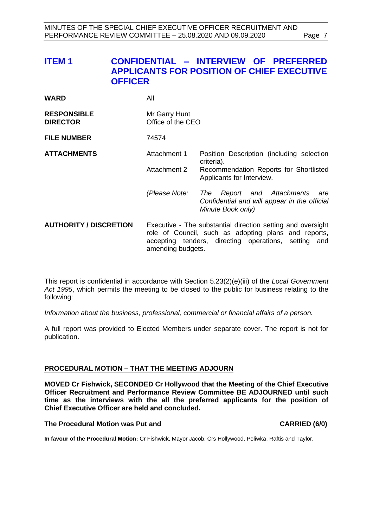# <span id="page-6-0"></span>**ITEM 1 CONFIDENTIAL – INTERVIEW OF PREFERRED APPLICANTS FOR POSITION OF CHIEF EXECUTIVE OFFICER**

| WARD | All |
|------|-----|
|      |     |

| <b>RESPONSIBLE</b> | Mr Garry Hunt     |
|--------------------|-------------------|
| <b>DIRECTOR</b>    | Office of the CEO |

**FILE NUMBER** 74574

**ATTACHMENTS** Attachment 1 Position Description (including selection criteria). Attachment 2 Recommendation Reports for Shortlisted Applicants for Interview.

> *(Please Note: The Report and Attachments are Confidential and will appear in the official Minute Book only)*

# **AUTHORITY / DISCRETION** Executive - The substantial direction setting and oversight role of Council, such as adopting plans and reports, accepting tenders, directing operations, setting and amending budgets.

This report is confidential in accordance with Section 5.23(2)(e)(iii) of the *Local Government Act 1995*, which permits the meeting to be closed to the public for business relating to the following:

*Information about the business, professional, commercial or financial affairs of a person.*

A full report was provided to Elected Members under separate cover. The report is not for publication.

# <span id="page-6-1"></span>**PROCEDURAL MOTION – THAT THE MEETING ADJOURN**

**MOVED Cr Fishwick, SECONDED Cr Hollywood that the Meeting of the Chief Executive Officer Recruitment and Performance Review Committee BE ADJOURNED until such time as the interviews with the all the preferred applicants for the position of Chief Executive Officer are held and concluded.** 

# **The Procedural Motion was Put and CARRIED (6/0)**

**In favour of the Procedural Motion:** Cr Fishwick, Mayor Jacob, Crs Hollywood, Poliwka, Raftis and Taylor.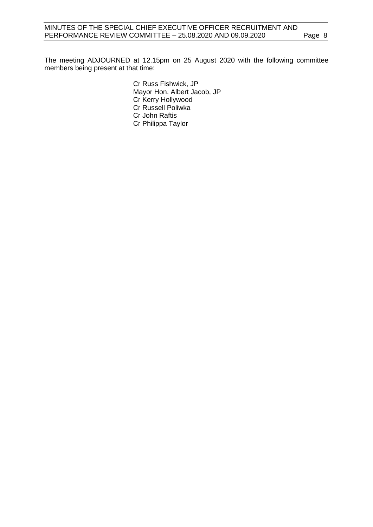The meeting ADJOURNED at 12.15pm on 25 August 2020 with the following committee members being present at that time:

> Cr Russ Fishwick, JP Mayor Hon. Albert Jacob, JP Cr Kerry Hollywood Cr Russell Poliwka Cr John Raftis Cr Philippa Taylor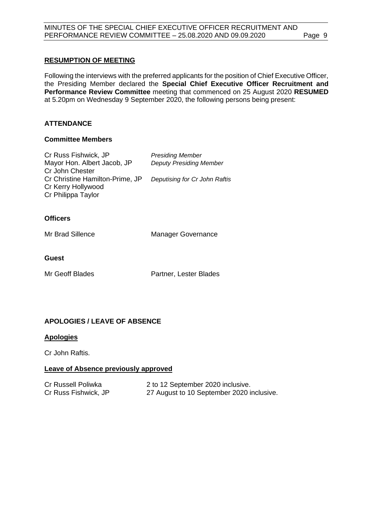# <span id="page-8-0"></span>**RESUMPTION OF MEETING**

Following the interviews with the preferred applicants for the position of Chief Executive Officer, the Presiding Member declared the **Special Chief Executive Officer Recruitment and Performance Review Committee** meeting that commenced on 25 August 2020 **RESUMED** at 5.20pm on Wednesday 9 September 2020, the following persons being present:

# **ATTENDANCE**

### **Committee Members**

| Cr Russ Fishwick, JP            | <b>Presiding Member</b>        |
|---------------------------------|--------------------------------|
| Mayor Hon. Albert Jacob, JP     | <b>Deputy Presiding Member</b> |
| Cr John Chester                 |                                |
| Cr Christine Hamilton-Prime, JP | Deputising for Cr John Raftis  |
| Cr Kerry Hollywood              |                                |
| Cr Philippa Taylor              |                                |
|                                 |                                |
|                                 |                                |

# **Officers**

Mr Brad Sillence Manager Governance

# **Guest**

Mr Geoff Blades **Partner**, Lester Blades

# **APOLOGIES / LEAVE OF ABSENCE**

# **Apologies**

Cr John Raftis.

# **Leave of Absence previously approved**

| Cr Russell Poliwka   | 2 to 12 September 2020 inclusive.         |
|----------------------|-------------------------------------------|
| Cr Russ Fishwick, JP | 27 August to 10 September 2020 inclusive. |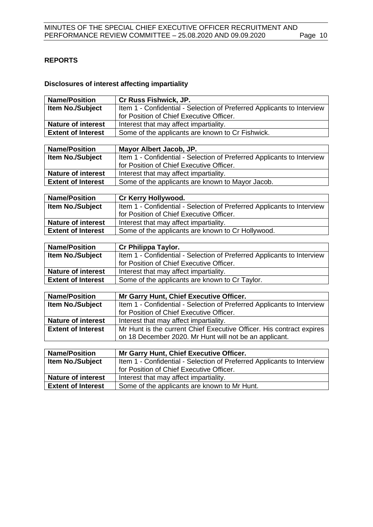# <span id="page-9-0"></span>**REPORTS**

# **Disclosures of interest affecting impartiality**

| <b>Name/Position</b>                                   | Cr Russ Fishwick, JP.                                                                  |
|--------------------------------------------------------|----------------------------------------------------------------------------------------|
| <b>Item No./Subject</b>                                | Item 1 - Confidential - Selection of Preferred Applicants to Interview                 |
|                                                        | for Position of Chief Executive Officer.                                               |
| <b>Nature of interest</b>                              | Interest that may affect impartiality.                                                 |
| <b>Extent of Interest</b>                              | Some of the applicants are known to Cr Fishwick.                                       |
|                                                        |                                                                                        |
| <b>Name/Position</b>                                   | Mayor Albert Jacob, JP.                                                                |
| <b>Item No./Subject</b>                                | Item 1 - Confidential - Selection of Preferred Applicants to Interview                 |
|                                                        | for Position of Chief Executive Officer.                                               |
| <b>Nature of interest</b>                              | Interest that may affect impartiality.                                                 |
| <b>Extent of Interest</b>                              | Some of the applicants are known to Mayor Jacob.                                       |
|                                                        |                                                                                        |
| <b>Name/Position</b>                                   | Cr Kerry Hollywood.                                                                    |
| <b>Item No./Subject</b>                                | Item 1 - Confidential - Selection of Preferred Applicants to Interview                 |
|                                                        | for Position of Chief Executive Officer.                                               |
| <b>Nature of interest</b>                              | Interest that may affect impartiality.                                                 |
| <b>Extent of Interest</b>                              | Some of the applicants are known to Cr Hollywood.                                      |
|                                                        |                                                                                        |
|                                                        |                                                                                        |
| <b>Name/Position</b>                                   | Cr Philippa Taylor.                                                                    |
| <b>Item No./Subject</b>                                | Item 1 - Confidential - Selection of Preferred Applicants to Interview                 |
|                                                        | for Position of Chief Executive Officer.                                               |
| <b>Nature of interest</b>                              | Interest that may affect impartiality.                                                 |
| <b>Extent of Interest</b>                              | Some of the applicants are known to Cr Taylor.                                         |
|                                                        |                                                                                        |
| <b>Name/Position</b>                                   | Mr Garry Hunt, Chief Executive Officer.                                                |
| Item No./Subject                                       | Item 1 - Confidential - Selection of Preferred Applicants to Interview                 |
|                                                        | for Position of Chief Executive Officer.                                               |
| <b>Nature of interest</b>                              | Interest that may affect impartiality.                                                 |
| <b>Extent of Interest</b>                              | Mr Hunt is the current Chief Executive Officer. His contract expires                   |
|                                                        | on 18 December 2020. Mr Hunt will not be an applicant.                                 |
|                                                        |                                                                                        |
| <b>Name/Position</b>                                   | Mr Garry Hunt, Chief Executive Officer.                                                |
| <b>Item No./Subject</b>                                | Item 1 - Confidential - Selection of Preferred Applicants to Interview                 |
|                                                        | for Position of Chief Executive Officer.                                               |
| <b>Nature of interest</b><br><b>Extent of Interest</b> | Interest that may affect impartiality.<br>Some of the applicants are known to Mr Hunt. |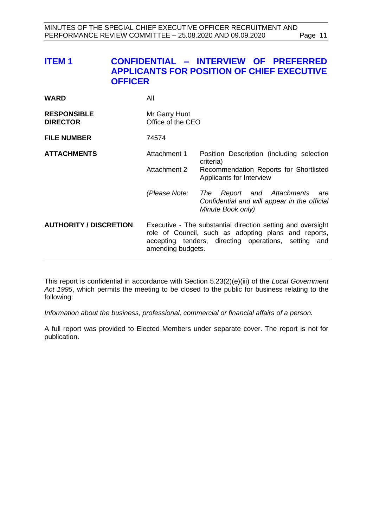# <span id="page-10-0"></span>**ITEM 1 CONFIDENTIAL – INTERVIEW OF PREFERRED APPLICANTS FOR POSITION OF CHIEF EXECUTIVE OFFICER**

| WARD | All |
|------|-----|
|      |     |

| <b>RESPONSIBLE</b> | Mr Garry Hunt     |
|--------------------|-------------------|
| <b>DIRECTOR</b>    | Office of the CEO |

**FILE NUMBER** 74574

**ATTACHMENTS** 

| Attachment 1 | Position Description (including selection |
|--------------|-------------------------------------------|
|              | criteria)                                 |
| Attachment 2 | Recommendation Reports for Shortlisted    |
|              | Applicants for Interview                  |

*(Please Note: The Report and Attachments are Confidential and will appear in the official Minute Book only)*

# **AUTHORITY / DISCRETION** Executive - The substantial direction setting and oversight role of Council, such as adopting plans and reports, accepting tenders, directing operations, setting and amending budgets.

This report is confidential in accordance with Section 5.23(2)(e)(iii) of the *Local Government Act 1995*, which permits the meeting to be closed to the public for business relating to the following:

*Information about the business, professional, commercial or financial affairs of a person.*

A full report was provided to Elected Members under separate cover. The report is not for publication.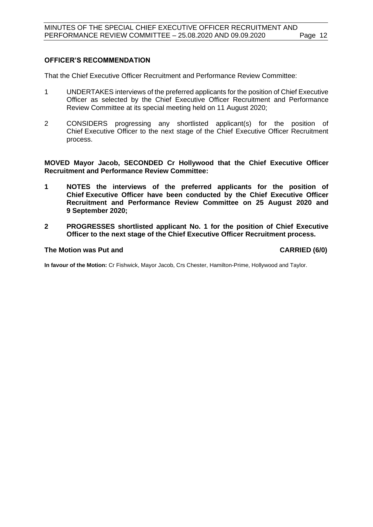# **OFFICER'S RECOMMENDATION**

That the Chief Executive Officer Recruitment and Performance Review Committee:

- 1 UNDERTAKES interviews of the preferred applicants for the position of Chief Executive Officer as selected by the Chief Executive Officer Recruitment and Performance Review Committee at its special meeting held on 11 August 2020;
- 2 CONSIDERS progressing any shortlisted applicant(s) for the position of Chief Executive Officer to the next stage of the Chief Executive Officer Recruitment process.

**MOVED Mayor Jacob, SECONDED Cr Hollywood that the Chief Executive Officer Recruitment and Performance Review Committee:**

- **1 NOTES the interviews of the preferred applicants for the position of Chief Executive Officer have been conducted by the Chief Executive Officer Recruitment and Performance Review Committee on 25 August 2020 and 9 September 2020;**
- **2 PROGRESSES shortlisted applicant No. 1 for the position of Chief Executive Officer to the next stage of the Chief Executive Officer Recruitment process.**

#### **The Motion was Put and CARRIED (6/0)**

**In favour of the Motion:** Cr Fishwick, Mayor Jacob, Crs Chester, Hamilton-Prime, Hollywood and Taylor.